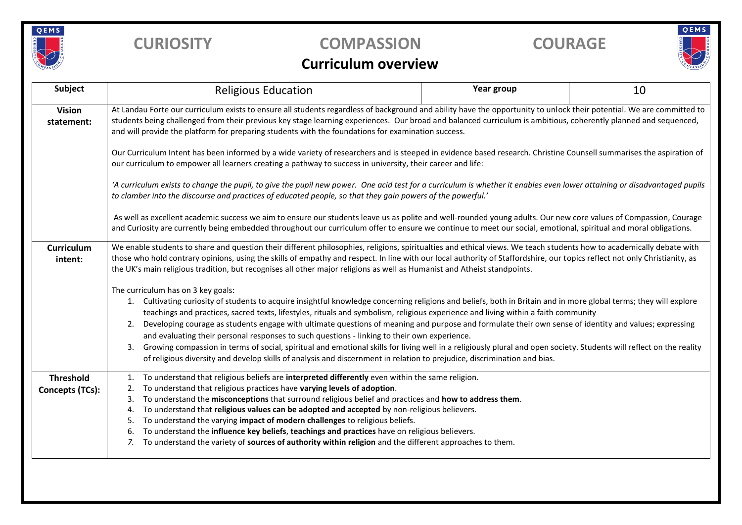

## **CURIOSITY COMPASSION COURAGE**

# QEMS

### **Curriculum overview**

| Subject                             | <b>Religious Education</b>                                                                                                                                                                                                                                                                                                                                                                                                                                                                                                                                                                                                                                                                                                                                                                                                                                                                                                 | Year group | 10 |  |  |  |  |  |  |
|-------------------------------------|----------------------------------------------------------------------------------------------------------------------------------------------------------------------------------------------------------------------------------------------------------------------------------------------------------------------------------------------------------------------------------------------------------------------------------------------------------------------------------------------------------------------------------------------------------------------------------------------------------------------------------------------------------------------------------------------------------------------------------------------------------------------------------------------------------------------------------------------------------------------------------------------------------------------------|------------|----|--|--|--|--|--|--|
| <b>Vision</b><br>statement:         | At Landau Forte our curriculum exists to ensure all students regardless of background and ability have the opportunity to unlock their potential. We are committed to<br>students being challenged from their previous key stage learning experiences. Our broad and balanced curriculum is ambitious, coherently planned and sequenced,<br>and will provide the platform for preparing students with the foundations for examination success.                                                                                                                                                                                                                                                                                                                                                                                                                                                                             |            |    |  |  |  |  |  |  |
|                                     | Our Curriculum Intent has been informed by a wide variety of researchers and is steeped in evidence based research. Christine Counsell summarises the aspiration of<br>our curriculum to empower all learners creating a pathway to success in university, their career and life:                                                                                                                                                                                                                                                                                                                                                                                                                                                                                                                                                                                                                                          |            |    |  |  |  |  |  |  |
|                                     | 'A curriculum exists to change the pupil, to give the pupil new power. One acid test for a curriculum is whether it enables even lower attaining or disadvantaged pupils<br>to clamber into the discourse and practices of educated people, so that they gain powers of the powerful.'<br>As well as excellent academic success we aim to ensure our students leave us as polite and well-rounded young adults. Our new core values of Compassion, Courage<br>and Curiosity are currently being embedded throughout our curriculum offer to ensure we continue to meet our social, emotional, spiritual and moral obligations.                                                                                                                                                                                                                                                                                             |            |    |  |  |  |  |  |  |
|                                     |                                                                                                                                                                                                                                                                                                                                                                                                                                                                                                                                                                                                                                                                                                                                                                                                                                                                                                                            |            |    |  |  |  |  |  |  |
| <b>Curriculum</b><br>intent:        | We enable students to share and question their different philosophies, religions, spiritualties and ethical views. We teach students how to academically debate with<br>those who hold contrary opinions, using the skills of empathy and respect. In line with our local authority of Staffordshire, our topics reflect not only Christianity, as<br>the UK's main religious tradition, but recognises all other major religions as well as Humanist and Atheist standpoints.                                                                                                                                                                                                                                                                                                                                                                                                                                             |            |    |  |  |  |  |  |  |
|                                     | The curriculum has on 3 key goals:<br>Cultivating curiosity of students to acquire insightful knowledge concerning religions and beliefs, both in Britain and in more global terms; they will explore<br>1.<br>teachings and practices, sacred texts, lifestyles, rituals and symbolism, religious experience and living within a faith community<br>Developing courage as students engage with ultimate questions of meaning and purpose and formulate their own sense of identity and values; expressing<br>2.<br>and evaluating their personal responses to such questions - linking to their own experience.<br>Growing compassion in terms of social, spiritual and emotional skills for living well in a religiously plural and open society. Students will reflect on the reality<br>3.<br>of religious diversity and develop skills of analysis and discernment in relation to prejudice, discrimination and bias. |            |    |  |  |  |  |  |  |
| <b>Threshold</b><br>Concepts (TCs): | To understand that religious beliefs are interpreted differently even within the same religion.<br>1.<br>To understand that religious practices have varying levels of adoption.<br>2.<br>To understand the misconceptions that surround religious belief and practices and how to address them.<br>3.<br>To understand that religious values can be adopted and accepted by non-religious believers.<br>4.<br>To understand the varying impact of modern challenges to religious beliefs.<br>5.<br>To understand the influence key beliefs, teachings and practices have on religious believers.<br>6.<br>To understand the variety of sources of authority within religion and the different approaches to them.<br>7.                                                                                                                                                                                                   |            |    |  |  |  |  |  |  |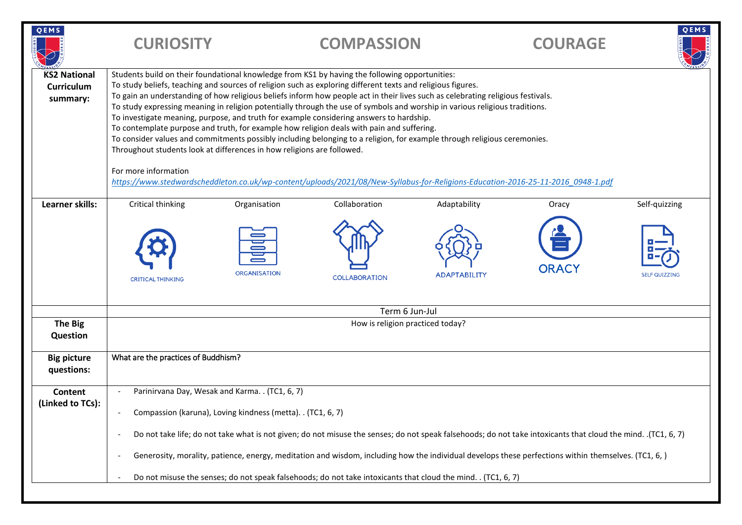| QEMS                                          | <b>CURIOSITY</b>                                                                                                                                                                                                                                                                                                                                                                                                                                                                                                                                                                                                                                                                                                                                                                                                                                                                                                                                                                                                                          |                                     | <b>COMPASSION</b>                     |                                     | <b>COURAGE</b>        | QEMS                                  |  |
|-----------------------------------------------|-------------------------------------------------------------------------------------------------------------------------------------------------------------------------------------------------------------------------------------------------------------------------------------------------------------------------------------------------------------------------------------------------------------------------------------------------------------------------------------------------------------------------------------------------------------------------------------------------------------------------------------------------------------------------------------------------------------------------------------------------------------------------------------------------------------------------------------------------------------------------------------------------------------------------------------------------------------------------------------------------------------------------------------------|-------------------------------------|---------------------------------------|-------------------------------------|-----------------------|---------------------------------------|--|
| <b>KS2 National</b><br>Curriculum<br>summary: | Students build on their foundational knowledge from KS1 by having the following opportunities:<br>To study beliefs, teaching and sources of religion such as exploring different texts and religious figures.<br>To gain an understanding of how religious beliefs inform how people act in their lives such as celebrating religious festivals.<br>To study expressing meaning in religion potentially through the use of symbols and worship in various religious traditions.<br>To investigate meaning, purpose, and truth for example considering answers to hardship.<br>To contemplate purpose and truth, for example how religion deals with pain and suffering.<br>To consider values and commitments possibly including belonging to a religion, for example through religious ceremonies.<br>Throughout students look at differences in how religions are followed.<br>For more information<br>https://www.stedwardscheddleton.co.uk/wp-content/uploads/2021/08/New-Syllabus-for-Religions-Education-2016-25-11-2016 0948-1.pdf |                                     |                                       |                                     |                       |                                       |  |
| Learner skills:                               | Critical thinking<br><b>CRITICAL THINKING</b>                                                                                                                                                                                                                                                                                                                                                                                                                                                                                                                                                                                                                                                                                                                                                                                                                                                                                                                                                                                             | Organisation<br><b>ORGANISATION</b> | Collaboration<br><b>COLLABORATION</b> | Adaptability<br><b>ADAPTABILITY</b> | Oracy<br><b>ORACY</b> | Self-quizzing<br><b>SELF QUIZZING</b> |  |
| <b>The Big</b><br><b>Question</b>             | Term 6 Jun-Jul<br>How is religion practiced today?                                                                                                                                                                                                                                                                                                                                                                                                                                                                                                                                                                                                                                                                                                                                                                                                                                                                                                                                                                                        |                                     |                                       |                                     |                       |                                       |  |
| <b>Big picture</b><br>questions:              | What are the practices of Buddhism?                                                                                                                                                                                                                                                                                                                                                                                                                                                                                                                                                                                                                                                                                                                                                                                                                                                                                                                                                                                                       |                                     |                                       |                                     |                       |                                       |  |
| Content<br>(Linked to TCs):                   | Parinirvana Day, Wesak and Karma. . (TC1, 6, 7)<br>Compassion (karuna), Loving kindness (metta). . (TC1, 6, 7)<br>Do not take life; do not take what is not given; do not misuse the senses; do not speak falsehoods; do not take intoxicants that cloud the mind. (TC1, 6, 7)<br>Generosity, morality, patience, energy, meditation and wisdom, including how the individual develops these perfections within themselves. (TC1, 6,)<br>Do not misuse the senses; do not speak falsehoods; do not take intoxicants that cloud the mind. . (TC1, 6, 7)                                                                                                                                                                                                                                                                                                                                                                                                                                                                                    |                                     |                                       |                                     |                       |                                       |  |